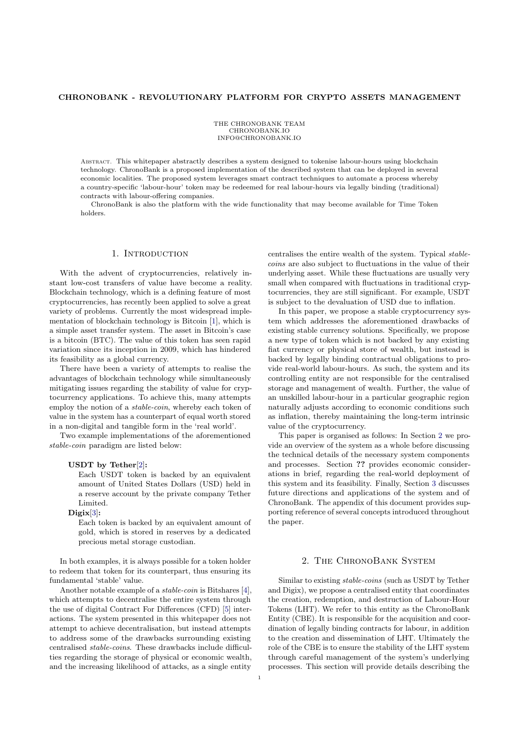## CHRONOBANK - REVOLUTIONARY PLATFORM FOR CRYPTO ASSETS MANAGEMENT

THE CHRONOBANK TEAM CHRONOBANK.IO INFO@CHRONOBANK.IO

Abstract. This whitepaper abstractly describes a system designed to tokenise labour-hours using blockchain technology. ChronoBank is a proposed implementation of the described system that can be deployed in several economic localities. The proposed system leverages smart contract techniques to automate a process whereby a country-specific 'labour-hour' token may be redeemed for real labour-hours via legally binding (traditional) contracts with labour-offering companies.

ChronoBank is also the platform with the wide functionality that may become available for Time Token holders.

## 1. INTRODUCTION

With the advent of cryptocurrencies, relatively instant low-cost transfers of value have become a reality. Blockchain technology, which is a defining feature of most cryptocurrencies, has recently been applied to solve a great variety of problems. Currently the most widespread implementation of blockchain technology is Bitcoin [\[1\]](#page-2-0), which is a simple asset transfer system. The asset in Bitcoin's case is a bitcoin (BTC). The value of this token has seen rapid variation since its inception in 2009, which has hindered its feasibility as a global currency.

There have been a variety of attempts to realise the advantages of blockchain technology while simultaneously mitigating issues regarding the stability of value for cryptocurrency applications. To achieve this, many attempts employ the notion of a stable-coin, whereby each token of value in the system has a counterpart of equal worth stored in a non-digital and tangible form in the 'real world'.

Two example implementations of the aforementioned stable-coin paradigm are listed below:

## USDT by Tether[\[2\]](#page-2-1):

Each USDT token is backed by an equivalent amount of United States Dollars (USD) held in a reserve account by the private company Tether Limited.

### $Digit[3]:$  $Digit[3]:$  $Digit[3]:$

Each token is backed by an equivalent amount of gold, which is stored in reserves by a dedicated precious metal storage custodian.

In both examples, it is always possible for a token holder to redeem that token for its counterpart, thus ensuring its fundamental 'stable' value.

Another notable example of a stable-coin is Bitshares [\[4\]](#page-2-3), which attempts to decentralise the entire system through the use of digital Contract For Differences (CFD) [\[5\]](#page-2-4) interactions. The system presented in this whitepaper does not attempt to achieve decentralisation, but instead attempts to address some of the drawbacks surrounding existing centralised stable-coins. These drawbacks include difficulties regarding the storage of physical or economic wealth, and the increasing likelihood of attacks, as a single entity

centralises the entire wealth of the system. Typical stablecoins are also subject to fluctuations in the value of their underlying asset. While these fluctuations are usually very small when compared with fluctuations in traditional cryptocurrencies, they are still significant. For example, USDT is subject to the devaluation of USD due to inflation.

In this paper, we propose a stable cryptocurrency system which addresses the aforementioned drawbacks of existing stable currency solutions. Specifically, we propose a new type of token which is not backed by any existing fiat currency or physical store of wealth, but instead is backed by legally binding contractual obligations to provide real-world labour-hours. As such, the system and its controlling entity are not responsible for the centralised storage and management of wealth. Further, the value of an unskilled labour-hour in a particular geographic region naturally adjusts according to economic conditions such as inflation, thereby maintaining the long-term intrinsic value of the cryptocurrency.

This paper is organised as follows: In Section [2](#page-0-0) we provide an overview of the system as a whole before discussing the technical details of the necessary system components and processes. Section ?? provides economic considerations in brief, regarding the real-world deployment of this system and its feasibility. Finally, Section [3](#page-2-5) discusses future directions and applications of the system and of ChronoBank. The appendix of this document provides supporting reference of several concepts introduced throughout the paper.

# 2. The ChronoBank System

<span id="page-0-0"></span>Similar to existing stable-coins (such as USDT by Tether and Digix), we propose a centralised entity that coordinates the creation, redemption, and destruction of Labour-Hour Tokens (LHT). We refer to this entity as the ChronoBank Entity (CBE). It is responsible for the acquisition and coordination of legally binding contracts for labour, in addition to the creation and dissemination of LHT. Ultimately the role of the CBE is to ensure the stability of the LHT system through careful management of the system's underlying processes. This section will provide details describing the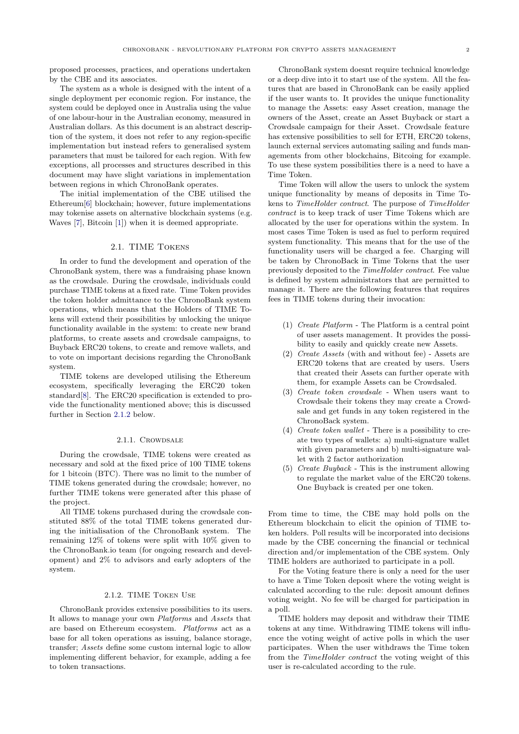proposed processes, practices, and operations undertaken by the CBE and its associates.

The system as a whole is designed with the intent of a single deployment per economic region. For instance, the system could be deployed once in Australia using the value of one labour-hour in the Australian economy, measured in Australian dollars. As this document is an abstract description of the system, it does not refer to any region-specific implementation but instead refers to generalised system parameters that must be tailored for each region. With few exceptions, all processes and structures described in this document may have slight variations in implementation between regions in which ChronoBank operates.

The initial implementation of the CBE utilised the Ethereum[\[6\]](#page-2-6) blockchain; however, future implementations may tokenise assets on alternative blockchain systems (e.g. Waves [\[7\]](#page-2-7), Bitcoin [\[1\]](#page-2-0)) when it is deemed appropriate.

# 2.1. TIME Tokens

In order to fund the development and operation of the ChronoBank system, there was a fundraising phase known as the crowdsale. During the crowdsale, individuals could purchase TIME tokens at a fixed rate. Time Token provides the token holder admittance to the ChronoBank system operations, which means that the Holders of TIME Tokens will extend their possibilities by unlocking the unique functionality available in the system: to create new brand platforms, to create assets and crowdsale campaigns, to Buyback ERC20 tokens, to create and remove wallets, and to vote on important decisions regarding the ChronoBank system.

TIME tokens are developed utilising the Ethereum ecosystem, specifically leveraging the ERC20 token standard[\[8\]](#page-2-8). The ERC20 specification is extended to provide the functionality mentioned above; this is discussed further in Section [2.1.2](#page-1-0) below.

#### 2.1.1. CROWDSALE

During the crowdsale, TIME tokens were created as necessary and sold at the fixed price of 100 TIME tokens for 1 bitcoin (BTC). There was no limit to the number of TIME tokens generated during the crowdsale; however, no further TIME tokens were generated after this phase of the project.

All TIME tokens purchased during the crowdsale constituted 88% of the total TIME tokens generated during the initialisation of the ChronoBank system. The remaining 12% of tokens were split with 10% given to the ChronoBank.io team (for ongoing research and development) and 2% to advisors and early adopters of the system.

# 2.1.2. TIME Token Use

<span id="page-1-0"></span>ChronoBank provides extensive possibilities to its users. It allows to manage your own Platforms and Assets that are based on Ethereum ecosystem. Platforms act as a base for all token operations as issuing, balance storage, transfer; Assets define some custom internal logic to allow implementing different behavior, for example, adding a fee to token transactions.

ChronoBank system doesnt require technical knowledge or a deep dive into it to start use of the system. All the features that are based in ChronoBank can be easily applied if the user wants to. It provides the unique functionality to manage the Assets: easy Asset creation, manage the owners of the Asset, create an Asset Buyback or start a Crowdsale campaign for their Asset. Crowdsale feature has extensive possibilities to sell for ETH, ERC20 tokens, launch external services automating sailing and funds managements from other blockchains, Bitcoing for example. To use these system possibilities there is a need to have a Time Token.

Time Token will allow the users to unlock the system unique functionality by means of deposits in Time Tokens to TimeHolder contract. The purpose of TimeHolder contract is to keep track of user Time Tokens which are allocated by the user for operations within the system. In most cases Time Token is used as fuel to perform required system functionality. This means that for the use of the functionality users will be charged a fee. Charging will be taken by ChronoBack in Time Tokens that the user previously deposited to the TimeHolder contract. Fee value is defined by system administrators that are permitted to manage it. There are the following features that requires fees in TIME tokens during their invocation:

- (1) Create Platform The Platform is a central point of user assets management. It provides the possibility to easily and quickly create new Assets.
- (2) Create Assets (with and without fee) Assets are ERC20 tokens that are created by users. Users that created their Assets can further operate with them, for example Assets can be Crowdsaled.
- (3) Create token crowdsale When users want to Crowdsale their tokens they may create a Crowdsale and get funds in any token registered in the ChronoBack system.
- (4) Create token wallet There is a possibility to create two types of wallets: a) multi-signature wallet with given parameters and b) multi-signature wallet with 2 factor authorization
- (5) Create Buyback This is the instrument allowing to regulate the market value of the ERC20 tokens. One Buyback is created per one token.

From time to time, the CBE may hold polls on the Ethereum blockchain to elicit the opinion of TIME token holders. Poll results will be incorporated into decisions made by the CBE concerning the financial or technical direction and/or implementation of the CBE system. Only TIME holders are authorized to participate in a poll.

For the Voting feature there is only a need for the user to have a Time Token deposit where the voting weight is calculated according to the rule: deposit amount defines voting weight. No fee will be charged for participation in a poll.

TIME holders may deposit and withdraw their TIME tokens at any time. Withdrawing TIME tokens will influence the voting weight of active polls in which the user participates. When the user withdraws the Time token from the TimeHolder contract the voting weight of this user is re-calculated according to the rule.